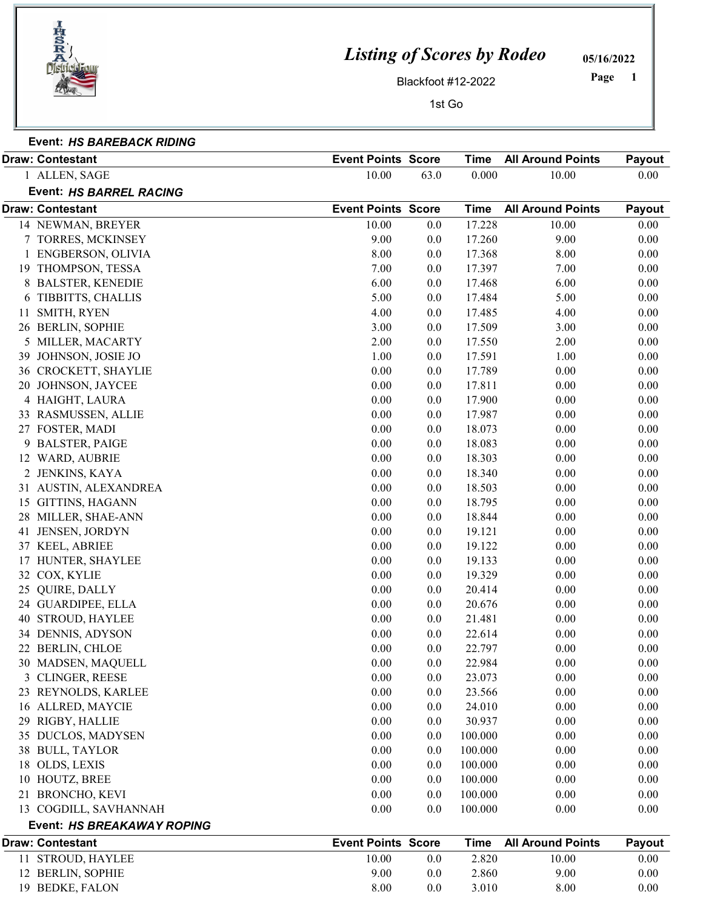

## Listing of Scores by Rodeo

05/16/2022

1 Page

Blackfoot #12-2022

1st  $G$ 

| 1SI GO |  |  |
|--------|--|--|
|        |  |  |

Event: HS BAREBACK RIDING

|    | <b>Draw: Contestant</b>        | <b>Event Points Score</b> |         | <b>Time</b> | <b>All Around Points</b> | Payout   |
|----|--------------------------------|---------------------------|---------|-------------|--------------------------|----------|
|    | 1 ALLEN, SAGE                  | 10.00                     | 63.0    | 0.000       | 10.00                    | 0.00     |
|    | <b>Event: HS BARREL RACING</b> |                           |         |             |                          |          |
|    | <b>Draw: Contestant</b>        | <b>Event Points Score</b> |         | <b>Time</b> | <b>All Around Points</b> | Payout   |
|    | 14 NEWMAN, BREYER              | 10.00                     | 0.0     | 17.228      | 10.00                    | 0.00     |
|    | 7 TORRES, MCKINSEY             | 9.00                      | 0.0     | 17.260      | 9.00                     | 0.00     |
|    | 1 ENGBERSON, OLIVIA            | 8.00                      | 0.0     | 17.368      | 8.00                     | 0.00     |
|    | 19 THOMPSON, TESSA             | 7.00                      | 0.0     | 17.397      | 7.00                     | 0.00     |
|    | 8 BALSTER, KENEDIE             | 6.00                      | 0.0     | 17.468      | 6.00                     | 0.00     |
| 6  | TIBBITTS, CHALLIS              | 5.00                      | $0.0\,$ | 17.484      | 5.00                     | 0.00     |
| 11 | SMITH, RYEN                    | 4.00                      | 0.0     | 17.485      | 4.00                     | 0.00     |
|    | 26 BERLIN, SOPHIE              | 3.00                      | 0.0     | 17.509      | 3.00                     | 0.00     |
|    | 5 MILLER, MACARTY              | 2.00                      | 0.0     | 17.550      | 2.00                     | 0.00     |
| 39 | JOHNSON, JOSIE JO              | 1.00                      | 0.0     | 17.591      | 1.00                     | 0.00     |
|    | 36 CROCKETT, SHAYLIE           | 0.00                      | 0.0     | 17.789      | 0.00                     | 0.00     |
|    | 20 JOHNSON, JAYCEE             | 0.00                      | 0.0     | 17.811      | 0.00                     | 0.00     |
|    | 4 HAIGHT, LAURA                | 0.00                      | 0.0     | 17.900      | 0.00                     | 0.00     |
|    | 33 RASMUSSEN, ALLIE            | 0.00                      | 0.0     | 17.987      | 0.00                     | 0.00     |
|    | 27 FOSTER, MADI                | 0.00                      | $0.0\,$ | 18.073      | 0.00                     | 0.00     |
|    | 9 BALSTER, PAIGE               | 0.00                      | 0.0     | 18.083      | 0.00                     | 0.00     |
|    | 12 WARD, AUBRIE                | 0.00                      | 0.0     | 18.303      | 0.00                     | 0.00     |
|    | 2 JENKINS, KAYA                | 0.00                      | 0.0     | 18.340      | 0.00                     | 0.00     |
|    | 31 AUSTIN, ALEXANDREA          | 0.00                      | $0.0\,$ | 18.503      | 0.00                     | 0.00     |
|    | 15 GITTINS, HAGANN             | 0.00                      | $0.0\,$ | 18.795      | 0.00                     | 0.00     |
|    | 28 MILLER, SHAE-ANN            | 0.00                      | 0.0     | 18.844      | 0.00                     | 0.00     |
| 41 | JENSEN, JORDYN                 | 0.00                      | 0.0     | 19.121      | 0.00                     | 0.00     |
|    | 37 KEEL, ABRIEE                | 0.00                      | $0.0\,$ | 19.122      | 0.00                     | 0.00     |
|    | 17 HUNTER, SHAYLEE             | 0.00                      | 0.0     | 19.133      | 0.00                     | 0.00     |
|    | 32 COX, KYLIE                  | 0.00                      | 0.0     | 19.329      | 0.00                     | 0.00     |
| 25 | QUIRE, DALLY                   | 0.00                      | 0.0     | 20.414      | 0.00                     | 0.00     |
|    | 24 GUARDIPEE, ELLA             | 0.00                      | 0.0     | 20.676      | 0.00                     | 0.00     |
| 40 | <b>STROUD, HAYLEE</b>          | 0.00                      | 0.0     | 21.481      | 0.00                     | 0.00     |
|    | 34 DENNIS, ADYSON              | 0.00                      | 0.0     | 22.614      | 0.00                     | 0.00     |
|    | 22 BERLIN, CHLOE               | 0.00                      | 0.0     | 22.797      | 0.00                     | 0.00     |
|    | 30 MADSEN, MAQUELL             | $0.00\,$                  | 0.0     | 22.984      | 0.00                     | $0.00\,$ |
|    | 3 CLINGER, REESE               | 0.00                      | 0.0     | 23.073      | 0.00                     | 0.00     |
|    | 23 REYNOLDS, KARLEE            | 0.00                      | 0.0     | 23.566      | 0.00                     | 0.00     |
|    | 16 ALLRED, MAYCIE              | 0.00                      | 0.0     | 24.010      | 0.00                     | 0.00     |
|    | 29 RIGBY, HALLIE               | 0.00                      | 0.0     | 30.937      | 0.00                     | 0.00     |
|    | 35 DUCLOS, MADYSEN             | 0.00                      | 0.0     | 100.000     | 0.00                     | 0.00     |
|    | 38 BULL, TAYLOR                | 0.00                      | 0.0     | 100.000     | 0.00                     | 0.00     |
|    | 18 OLDS, LEXIS                 | 0.00                      | 0.0     | 100.000     | 0.00                     | 0.00     |
|    | 10 HOUTZ, BREE                 | 0.00                      | 0.0     | 100.000     | 0.00                     | 0.00     |
| 21 | <b>BRONCHO, KEVI</b>           | 0.00                      | $0.0\,$ | 100.000     | 0.00                     | 0.00     |
|    | 13 COGDILL, SAVHANNAH          | 0.00                      | 0.0     | 100.000     | 0.00                     | 0.00     |
|    | Event: HS BREAKAWAY ROPING     |                           |         |             |                          |          |
|    | <b>Draw: Contestant</b>        | <b>Event Points Score</b> |         | <b>Time</b> | <b>All Around Points</b> | Payout   |
|    | 11 STROUD, HAYLEE              | 10.00                     | 0.0     | 2.820       | 10.00                    | 0.00     |
|    | 12 BERLIN, SOPHIE              | 9.00                      | 0.0     | 2.860       | 9.00                     | 0.00     |
|    | 19 BEDKE, FALON                | 8.00                      | 0.0     | 3.010       | 8.00                     | 0.00     |
|    |                                |                           |         |             |                          |          |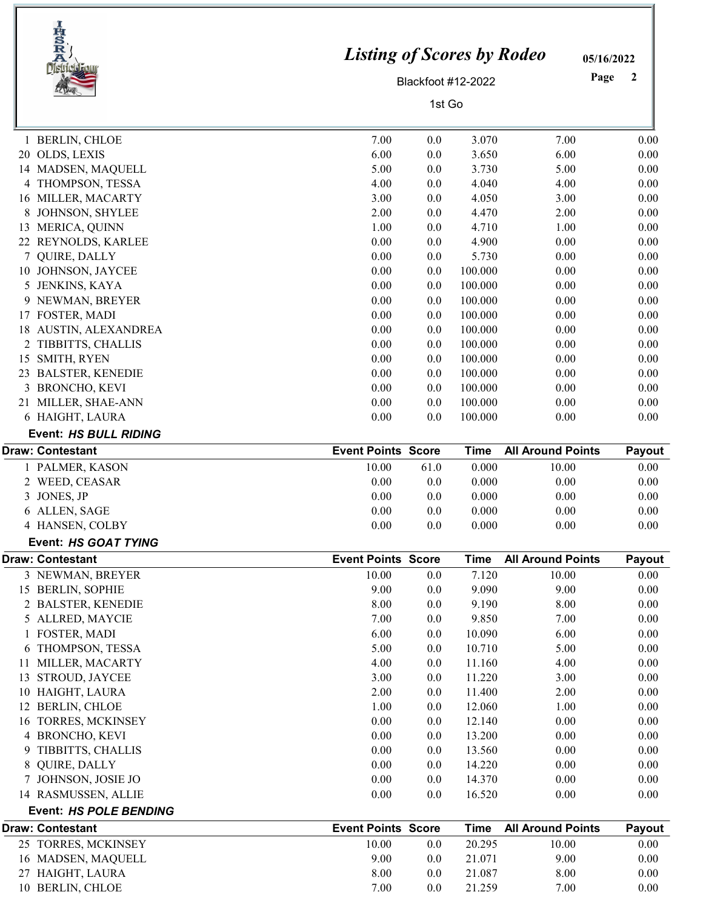|   | IRSRA<br><b>District Fou</b>            | <b>Listing of Scores by Rodeo</b> |            |                    |                          | 05/16/2022   |
|---|-----------------------------------------|-----------------------------------|------------|--------------------|--------------------------|--------------|
|   |                                         |                                   |            | Blackfoot #12-2022 |                          | Page<br>2    |
|   |                                         |                                   | 1st Go     |                    |                          |              |
|   |                                         |                                   |            |                    |                          |              |
|   | 1 BERLIN, CHLOE                         | 7.00                              | 0.0        | 3.070              | 7.00                     | 0.00         |
|   | 20 OLDS, LEXIS                          | 6.00                              | 0.0        | 3.650              | 6.00                     | 0.00         |
|   | 14 MADSEN, MAQUELL                      | 5.00                              | 0.0        | 3.730              | 5.00                     | 0.00         |
|   | 4 THOMPSON, TESSA                       | 4.00                              | 0.0        | 4.040              | 4.00                     | 0.00         |
|   | 16 MILLER, MACARTY                      | 3.00                              | 0.0        | 4.050              | 3.00                     | 0.00         |
| 8 | JOHNSON, SHYLEE                         | 2.00                              | 0.0        | 4.470              | 2.00                     | 0.00         |
|   | 13 MERICA, QUINN                        | 1.00                              | 0.0        | 4.710              | 1.00                     | 0.00         |
| 7 | 22 REYNOLDS, KARLEE                     | 0.00<br>0.00                      | 0.0        | 4.900<br>5.730     | 0.00<br>0.00             | 0.00         |
|   | QUIRE, DALLY<br>10 JOHNSON, JAYCEE      | 0.00                              | 0.0<br>0.0 | 100.000            | 0.00                     | 0.00<br>0.00 |
| 5 | JENKINS, KAYA                           | 0.00                              | 0.0        | 100.000            | 0.00                     | 0.00         |
|   | 9 NEWMAN, BREYER                        | 0.00                              | 0.0        | 100.000            | 0.00                     | 0.00         |
|   | 17 FOSTER, MADI                         | 0.00                              | 0.0        | 100.000            | 0.00                     | 0.00         |
|   | 18 AUSTIN, ALEXANDREA                   | 0.00                              | 0.0        | 100.000            | 0.00                     | 0.00         |
|   | 2 TIBBITTS, CHALLIS                     | 0.00                              | 0.0        | 100.000            | 0.00                     | 0.00         |
|   | 15 SMITH, RYEN                          | 0.00                              | 0.0        | 100.000            | 0.00                     | 0.00         |
|   | 23 BALSTER, KENEDIE                     | 0.00                              | 0.0        | 100.000            | 0.00                     | 0.00         |
|   | 3 BRONCHO, KEVI                         | 0.00                              | 0.0        | 100.000            | 0.00                     | 0.00         |
|   | 21 MILLER, SHAE-ANN                     | 0.00                              | 0.0        | 100.000            | 0.00                     | 0.00         |
|   | 6 HAIGHT, LAURA                         | 0.00                              | 0.0        | 100.000            | 0.00                     | 0.00         |
|   | Event: HS BULL RIDING                   |                                   |            |                    |                          |              |
|   | <b>Draw: Contestant</b>                 | <b>Event Points Score</b>         |            | <b>Time</b>        | <b>All Around Points</b> | Payout       |
|   | 1 PALMER, KASON                         | 10.00                             | 61.0       | 0.000              | 10.00                    | 0.00         |
|   | 2 WEED, CEASAR                          | 0.00                              | 0.0        | 0.000              | 0.00                     | 0.00         |
| 3 | JONES, JP                               | 0.00                              | 0.0        | 0.000              | 0.00                     | 0.00         |
|   | 6 ALLEN, SAGE                           | 0.00                              | 0.0        | 0.000              | 0.00                     | 0.00         |
|   | 4 HANSEN, COLBY                         | 0.00                              | $0.0\,$    | 0.000              | $0.00\,$                 | 0.00         |
|   | Event: HS GOAT TYING                    |                                   |            |                    |                          |              |
|   | <b>Draw: Contestant</b>                 | <b>Event Points Score</b>         |            | <b>Time</b>        | <b>All Around Points</b> | Payout       |
|   | 3 NEWMAN, BREYER                        | 10.00                             | 0.0        | 7.120              | 10.00                    | 0.00         |
|   | 15 BERLIN, SOPHIE<br>2 BALSTER, KENEDIE | 9.00<br>8.00                      | 0.0<br>0.0 | 9.090<br>9.190     | 9.00<br>8.00             | 0.00<br>0.00 |
|   | 5 ALLRED, MAYCIE                        | 7.00                              | 0.0        | 9.850              | 7.00                     | 0.00         |
|   | 1 FOSTER, MADI                          | 6.00                              | 0.0        | 10.090             | 6.00                     | 0.00         |
|   | 6 THOMPSON, TESSA                       | 5.00                              | 0.0        | 10.710             | 5.00                     | 0.00         |
|   | 11 MILLER, MACARTY                      | 4.00                              | 0.0        | 11.160             | 4.00                     | 0.00         |
|   | 13 STROUD, JAYCEE                       | 3.00                              | 0.0        | 11.220             | 3.00                     | 0.00         |
|   | 10 HAIGHT, LAURA                        | 2.00                              | $0.0\,$    | 11.400             | 2.00                     | 0.00         |
|   | 12 BERLIN, CHLOE                        | 1.00                              | 0.0        | 12.060             | 1.00                     | 0.00         |
|   | 16 TORRES, MCKINSEY                     | 0.00                              | 0.0        | 12.140             | 0.00                     | 0.00         |
|   | 4 BRONCHO, KEVI                         | 0.00                              | 0.0        | 13.200             | 0.00                     | 0.00         |
| 9 | TIBBITTS, CHALLIS                       | 0.00                              | $0.0\,$    | 13.560             | 0.00                     | 0.00         |
| 8 | QUIRE, DALLY                            | 0.00                              | $0.0\,$    | 14.220             | 0.00                     | 0.00         |
|   | 7 JOHNSON, JOSIE JO                     | 0.00                              | 0.0        | 14.370             | 0.00                     | 0.00         |
|   | 14 RASMUSSEN, ALLIE                     | 0.00                              | 0.0        | 16.520             | 0.00                     | 0.00         |
|   | <b>Event: HS POLE BENDING</b>           |                                   |            |                    |                          |              |
|   | <b>Draw: Contestant</b>                 | <b>Event Points Score</b>         |            | <b>Time</b>        | <b>All Around Points</b> | Payout       |
|   | 25 TORRES, MCKINSEY                     | 10.00                             | $0.0\,$    | 20.295             | 10.00                    | 0.00         |
|   | 16 MADSEN, MAQUELL                      | 9.00                              | 0.0        | 21.071             | 9.00                     | 0.00         |
|   | 27 HAIGHT, LAURA                        | 8.00                              | 0.0        | 21.087             | 8.00                     | 0.00         |
|   | 10 BERLIN, CHLOE                        | 7.00                              | 0.0        | 21.259             | 7.00                     | 0.00         |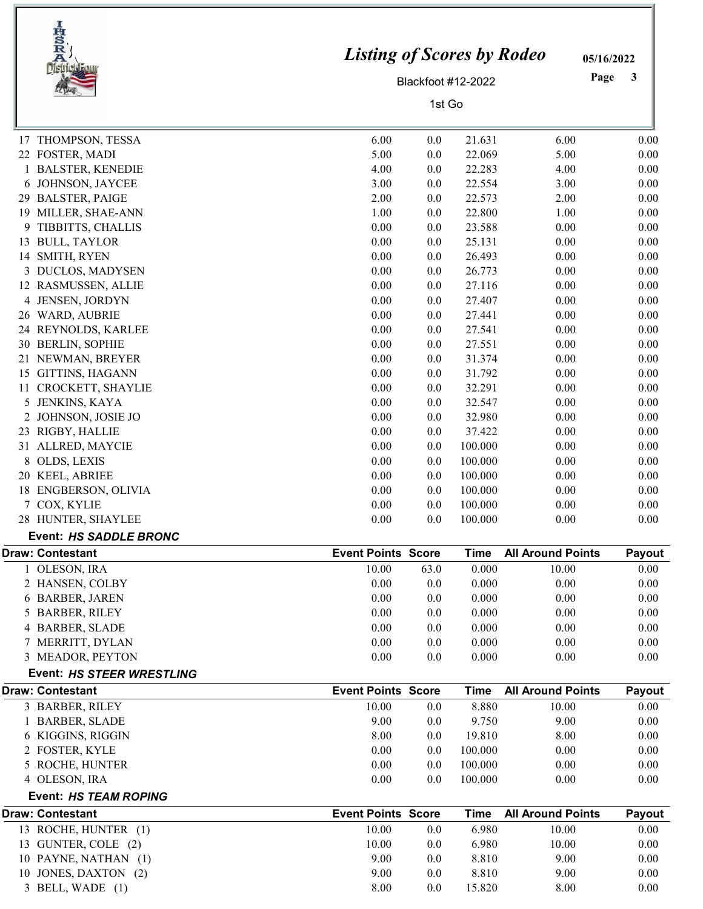| IRSRA<br>Distriction          | <b>Listing of Scores by Rodeo</b> |        |                    |                          | 05/16/2022<br>Page<br>3 |
|-------------------------------|-----------------------------------|--------|--------------------|--------------------------|-------------------------|
|                               |                                   |        | Blackfoot #12-2022 |                          |                         |
|                               |                                   | 1st Go |                    |                          |                         |
| THOMPSON, TESSA<br>17         | 6.00                              | 0.0    | 21.631             | 6.00                     | 0.00                    |
| 22 FOSTER, MADI               | 5.00                              | 0.0    | 22.069             | 5.00                     | 0.00                    |
| 1 BALSTER, KENEDIE            | 4.00                              | 0.0    | 22.283             | 4.00                     | 0.00                    |
| JOHNSON, JAYCEE<br>6          | 3.00                              | 0.0    | 22.554             | 3.00                     | 0.00                    |
| 29 BALSTER, PAIGE             | 2.00                              | 0.0    | 22.573             | 2.00                     | 0.00                    |
| 19 MILLER, SHAE-ANN           | 1.00                              | 0.0    | 22.800             | 1.00                     | 0.00                    |
| 9<br>TIBBITTS, CHALLIS        | 0.00                              | 0.0    | 23.588             | 0.00                     | 0.00                    |
| <b>BULL, TAYLOR</b><br>13     | 0.00                              | 0.0    | 25.131             | 0.00                     | 0.00                    |
| SMITH, RYEN<br>14             | 0.00                              | 0.0    | 26.493             | 0.00                     | 0.00                    |
| 3 DUCLOS, MADYSEN             | 0.00                              | 0.0    | 26.773             | 0.00                     | 0.00                    |
| 12 RASMUSSEN, ALLIE           | 0.00                              | 0.0    | 27.116             | 0.00                     | 0.00                    |
| JENSEN, JORDYN<br>4           | 0.00                              | 0.0    | 27.407             | 0.00                     | 0.00                    |
| 26 WARD, AUBRIE               | 0.00                              | 0.0    | 27.441             | 0.00                     | 0.00                    |
| 24 REYNOLDS, KARLEE           | 0.00                              | 0.0    | 27.541             | 0.00                     | 0.00                    |
| 30<br><b>BERLIN, SOPHIE</b>   | 0.00                              | 0.0    | 27.551             | 0.00                     | 0.00                    |
| NEWMAN, BREYER<br>21          | 0.00                              | 0.0    | 31.374             | 0.00                     | 0.00                    |
| 15 GITTINS, HAGANN            | 0.00                              | 0.0    | 31.792             | 0.00                     | 0.00                    |
| CROCKETT, SHAYLIE<br>11       | 0.00                              | 0.0    | 32.291             | 0.00                     | 0.00                    |
| 5<br>JENKINS, KAYA            | 0.00                              | 0.0    | 32.547             | 0.00                     | 0.00                    |
| JOHNSON, JOSIE JO<br>2        | 0.00                              | 0.0    | 32.980             | 0.00                     | 0.00                    |
| 23 RIGBY, HALLIE              | 0.00                              | 0.0    | 37.422             | 0.00                     | 0.00                    |
| 31 ALLRED, MAYCIE             | 0.00                              | 0.0    | 100.000            | 0.00                     | 0.00                    |
| OLDS, LEXIS<br>8              | 0.00                              | 0.0    | 100.000            | 0.00                     | 0.00                    |
| 20 KEEL, ABRIEE               | 0.00                              | 0.0    | 100.000            | 0.00                     | 0.00                    |
| 18 ENGBERSON, OLIVIA          | 0.00                              | 0.0    | 100.000            | 0.00                     | 0.00                    |
| 7 COX, KYLIE                  | 0.00                              | 0.0    | 100.000            | 0.00                     | 0.00                    |
| 28 HUNTER, SHAYLEE            | 0.00                              | 0.0    | 100.000            | 0.00                     | 0.00                    |
| <b>Event: HS SADDLE BRONC</b> |                                   |        |                    |                          |                         |
| <b>Draw: Contestant</b>       | <b>Event Points Score</b>         |        | <b>Time</b>        | <b>All Around Points</b> | Payout                  |
| 1 OLESON, IRA                 | 10.00                             | 63.0   | 0.000              | 10.00                    | 0.00                    |
| 2 HANSEN, COLBY               | 0.00                              | 0.0    | 0.000              | 0.00                     | 0.00                    |
| 6 BARBER, JAREN               | 0.00                              | 0.0    | 0.000              | 0.00                     | 0.00                    |
| 5 BARBER, RILEY               | 0.00                              | 0.0    | 0.000              | 0.00                     | 0.00                    |
| 4 BARBER, SLADE               | 0.00                              | 0.0    | 0.000              | 0.00                     | 0.00                    |
| 7 MERRITT, DYLAN              | 0.00                              | 0.0    | 0.000              | 0.00                     | 0.00                    |
| 3 MEADOR, PEYTON              | 0.00                              | 0.0    | 0.000              | 0.00                     | 0.00                    |
| Event: HS STEER WRESTLING     |                                   |        |                    |                          |                         |
| <b>Draw: Contestant</b>       | <b>Event Points Score</b>         |        | <b>Time</b>        | <b>All Around Points</b> | Payout                  |
| 3 BARBER, RILEY               | 10.00                             | 0.0    | 8.880              | 10.00                    | 0.00                    |
| 1 BARBER, SLADE               | 9.00                              | 0.0    | 9.750              | 9.00                     | 0.00                    |
| 6 KIGGINS, RIGGIN             | 8.00                              | 0.0    | 19.810             | 8.00                     | 0.00                    |
| 2 FOSTER, KYLE                | 0.00                              | 0.0    | 100.000            | 0.00                     | 0.00                    |
| 5 ROCHE, HUNTER               | 0.00                              | 0.0    | 100.000            | 0.00                     | 0.00                    |
| 4 OLESON, IRA                 | 0.00                              | 0.0    | 100.000            | 0.00                     | 0.00                    |
| Event: HS TEAM ROPING         |                                   |        |                    |                          |                         |
| <b>Draw: Contestant</b>       | <b>Event Points Score</b>         |        | <b>Time</b>        | <b>All Around Points</b> | Payout                  |
| 13 ROCHE, HUNTER (1)          | 10.00                             | 0.0    | 6.980              | 10.00                    | 0.00                    |
| 13 GUNTER, COLE (2)           | 10.00                             | 0.0    | 6.980              | 10.00                    | 0.00                    |
| 10 PAYNE, NATHAN (1)          | 9.00                              | 0.0    | 8.810              | 9.00                     | 0.00                    |
| 10 JONES, DAXTON (2)          | 9.00                              | 0.0    | 8.810              | 9.00                     | 0.00                    |
| 3 BELL, WADE (1)              | 8.00                              | 0.0    | 15.820             | 8.00                     | 0.00                    |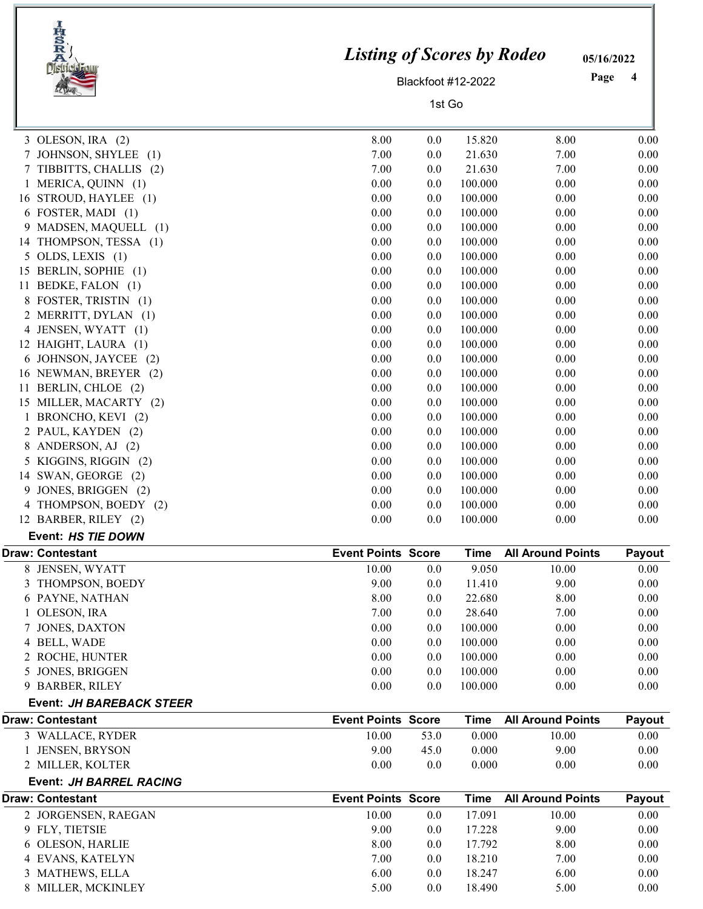|    | IRSRA<br>RAMA            | <b>Listing of Scores by Rodeo</b> | Blackfoot #12-2022 |             |                          | 05/16/2022<br>Page<br>4 |
|----|--------------------------|-----------------------------------|--------------------|-------------|--------------------------|-------------------------|
|    |                          |                                   |                    |             |                          |                         |
|    |                          |                                   | 1st Go             |             |                          |                         |
|    | 3 OLESON, IRA $(2)$      | 8.00                              | 0.0                | 15.820      | 8.00                     | 0.00                    |
| 7  | JOHNSON, SHYLEE (1)      | 7.00                              | 0.0                | 21.630      | 7.00                     | 0.00                    |
|    | 7 TIBBITTS, CHALLIS (2)  | 7.00                              | 0.0                | 21.630      | 7.00                     | 0.00                    |
|    | 1 MERICA, QUINN (1)      | 0.00                              | 0.0                | 100.000     | 0.00                     | 0.00                    |
|    | 16 STROUD, HAYLEE (1)    | 0.00                              | 0.0                | 100.000     | 0.00                     | 0.00                    |
|    | 6 FOSTER, MADI (1)       | 0.00                              | 0.0                | 100.000     | 0.00                     | 0.00                    |
|    | 9 MADSEN, MAQUELL (1)    | 0.00                              | 0.0                | 100.000     | 0.00                     | 0.00                    |
|    | 14 THOMPSON, TESSA (1)   | 0.00                              | 0.0                | 100.000     | 0.00                     | 0.00                    |
|    | $5$ OLDS, LEXIS $(1)$    | 0.00                              | 0.0                | 100.000     | 0.00                     | 0.00                    |
|    | 15 BERLIN, SOPHIE (1)    | 0.00                              | 0.0                | 100.000     | 0.00                     | 0.00                    |
| 11 | BEDKE, FALON (1)         | 0.00                              | 0.0                | 100.000     | 0.00                     | 0.00                    |
|    | 8 FOSTER, TRISTIN (1)    | 0.00                              | 0.0                | 100.000     | 0.00                     | 0.00                    |
|    | 2 MERRITT, DYLAN (1)     | 0.00                              | 0.0                | 100.000     | 0.00                     | 0.00                    |
|    | 4 JENSEN, WYATT (1)      | 0.00                              | 0.0                | 100.000     | 0.00                     | 0.00                    |
|    | 12 HAIGHT, LAURA (1)     | 0.00                              | 0.0                | 100.000     | 0.00                     | 0.00                    |
| 6  | JOHNSON, JAYCEE (2)      | 0.00                              | 0.0                | 100.000     | 0.00                     | 0.00                    |
|    | 16 NEWMAN, BREYER (2)    | 0.00                              | 0.0                | 100.000     | 0.00                     | 0.00                    |
| 11 | BERLIN, CHLOE (2)        | 0.00                              | 0.0                | 100.000     | 0.00                     | 0.00                    |
|    | 15 MILLER, MACARTY (2)   | 0.00                              | 0.0                | 100.000     | 0.00                     | 0.00                    |
| 1  | BRONCHO, KEVI (2)        | 0.00                              | 0.0                | 100.000     | 0.00                     | 0.00                    |
|    | 2 PAUL, KAYDEN (2)       | 0.00                              | 0.0                | 100.000     | 0.00                     | 0.00                    |
| 8  | ANDERSON, AJ (2)         | 0.00                              | 0.0                | 100.000     | 0.00                     | 0.00                    |
| 5  | KIGGINS, RIGGIN (2)      | 0.00                              | 0.0                | 100.000     | 0.00                     | 0.00                    |
|    | 14 SWAN, GEORGE (2)      | 0.00                              | 0.0                | 100.000     | 0.00                     | 0.00                    |
| 9  | JONES, BRIGGEN (2)       | 0.00                              | 0.0                | 100.000     | 0.00                     | 0.00                    |
| 4  | THOMPSON, BOEDY (2)      | 0.00                              | 0.0                | 100.000     | 0.00                     | 0.00                    |
|    | 12 BARBER, RILEY (2)     | 0.00                              | 0.0                | 100.000     | 0.00                     | 0.00                    |
|    | Event: HS TIE DOWN       |                                   |                    |             |                          |                         |
|    | <b>Draw: Contestant</b>  | <b>Event Points Score</b>         |                    | <b>Time</b> | <b>All Around Points</b> | Payout                  |
|    | 8 JENSEN, WYATT          | 10.00                             | 0.0                | 9.050       | 10.00                    | 0.00                    |
|    | 3 THOMPSON, BOEDY        | 9.00                              | 0.0                | 11.410      | 9.00                     | 0.00                    |
|    | 6 PAYNE, NATHAN          | 8.00                              | $0.0\,$            | 22.680      | 8.00                     | 0.00                    |
|    | 1 OLESON, IRA            | 7.00                              | 0.0                | 28.640      | 7.00                     | 0.00                    |
|    | JONES, DAXTON            | 0.00                              | 0.0                | 100.000     | 0.00                     | 0.00                    |
|    | 4 BELL, WADE             | 0.00                              | 0.0                | 100.000     | 0.00                     | 0.00                    |
|    | 2 ROCHE, HUNTER          | 0.00                              | 0.0                | 100.000     | 0.00                     | 0.00                    |
|    | 5 JONES, BRIGGEN         | 0.00                              | 0.0                | 100.000     | 0.00                     | 0.00                    |
|    | 9 BARBER, RILEY          | 0.00                              | 0.0                | 100.000     | 0.00                     | 0.00                    |
|    | Event: JH BAREBACK STEER |                                   |                    |             |                          |                         |
|    | <b>Draw: Contestant</b>  | <b>Event Points Score</b>         |                    | <b>Time</b> | <b>All Around Points</b> | Payout                  |
|    | 3 WALLACE, RYDER         | 10.00                             | 53.0               | 0.000       | 10.00                    | 0.00                    |
|    | 1 JENSEN, BRYSON         | 9.00                              | 45.0               | 0.000       | 9.00                     | 0.00                    |
|    | 2 MILLER, KOLTER         | 0.00                              | 0.0                | 0.000       | 0.00                     | 0.00                    |
|    | Event: JH BARREL RACING  |                                   |                    |             |                          |                         |
|    | <b>Draw: Contestant</b>  | <b>Event Points Score</b>         |                    | <b>Time</b> | <b>All Around Points</b> | Payout                  |
|    | 2 JORGENSEN, RAEGAN      | 10.00                             | $0.0\,$            | 17.091      | 10.00                    | 0.00                    |
|    | 9 FLY, TIETSIE           | 9.00                              | 0.0                | 17.228      | 9.00                     | 0.00                    |
|    | 6 OLESON, HARLIE         | 8.00                              | 0.0                | 17.792      | 8.00                     | 0.00                    |
|    | 4 EVANS, KATELYN         | 7.00                              | 0.0                | 18.210      | 7.00                     | 0.00                    |
|    | 3 MATHEWS, ELLA          | 6.00                              | 0.0                | 18.247      | 6.00                     | 0.00                    |
|    | 8 MILLER, MCKINLEY       | 5.00                              | 0.0                | 18.490      | 5.00                     | 0.00                    |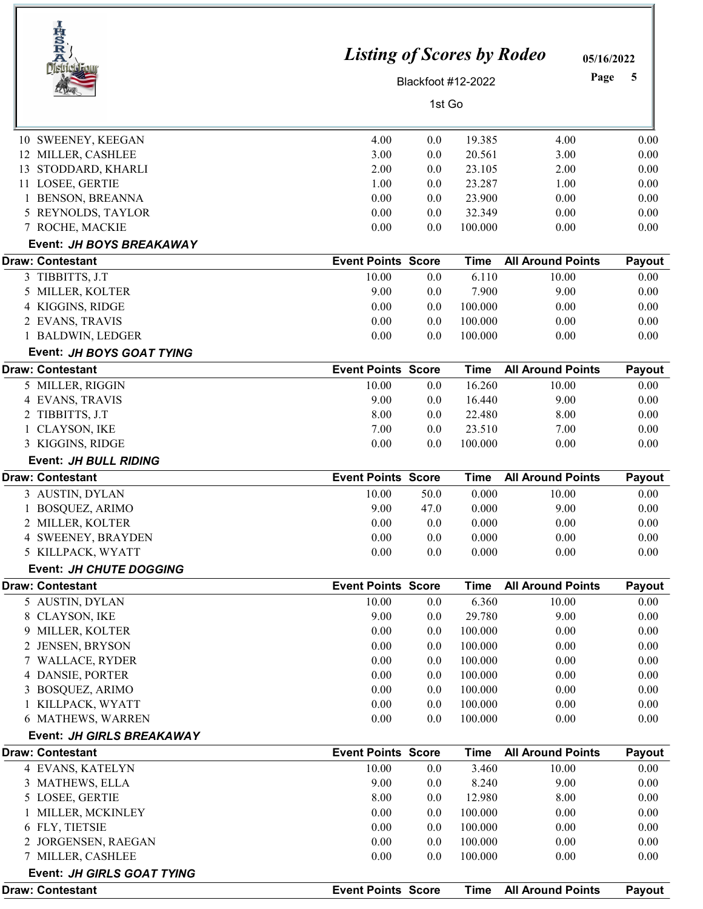| IRSRA                                      | <b>Listing of Scores by Rodeo</b>  |        |                      | 05/16/2022                        |                |
|--------------------------------------------|------------------------------------|--------|----------------------|-----------------------------------|----------------|
| <b>District F</b>                          |                                    |        | Blackfoot #12-2022   | Page                              | 5              |
|                                            |                                    |        |                      |                                   |                |
|                                            |                                    | 1st Go |                      |                                   |                |
| 10 SWEENEY, KEEGAN                         | 4.00                               | 0.0    | 19.385               | 4.00                              | 0.00           |
| 12 MILLER, CASHLEE                         | 3.00                               | 0.0    | 20.561               | 3.00                              | 0.00           |
| STODDARD, KHARLI<br>13                     | 2.00                               | 0.0    | 23.105               | 2.00                              | 0.00           |
| 11 LOSEE, GERTIE                           | 1.00                               | 0.0    | 23.287               | 1.00                              | 0.00           |
| 1 BENSON, BREANNA                          | 0.00                               | 0.0    | 23.900               | 0.00                              | 0.00           |
| 5 REYNOLDS, TAYLOR                         | 0.00                               | 0.0    | 32.349               | 0.00                              | 0.00           |
| 7 ROCHE, MACKIE                            | 0.00                               | 0.0    | 100.000              | 0.00                              | 0.00           |
| Event: JH BOYS BREAKAWAY                   |                                    |        |                      |                                   |                |
| <b>Draw: Contestant</b>                    | <b>Event Points Score</b>          |        | <b>Time</b>          | <b>All Around Points</b>          | Payout         |
| 3 TIBBITTS, J.T                            | 10.00                              | 0.0    | 6.110                | 10.00                             | 0.00           |
| 5 MILLER, KOLTER                           | 9.00                               | 0.0    | 7.900                | 9.00                              | 0.00           |
| 4 KIGGINS, RIDGE                           | 0.00                               | 0.0    | 100.000              | 0.00                              | 0.00           |
| 2 EVANS, TRAVIS                            | 0.00                               | 0.0    | 100.000              | 0.00                              | 0.00           |
| 1 BALDWIN, LEDGER                          | 0.00                               | 0.0    | 100.000              | 0.00                              | 0.00           |
| Event: JH BOYS GOAT TYING                  |                                    |        |                      |                                   |                |
| <b>Draw: Contestant</b>                    | <b>Event Points Score</b>          |        | <b>Time</b>          | <b>All Around Points</b>          | Payout         |
| 5 MILLER, RIGGIN                           | 10.00                              | 0.0    | 16.260               | 10.00                             | 0.00           |
| 4 EVANS, TRAVIS                            | 9.00                               | 0.0    | 16.440               | 9.00                              | 0.00           |
| 2 TIBBITTS, J.T                            | 8.00                               | 0.0    | 22.480               | 8.00                              | 0.00           |
| <b>CLAYSON, IKE</b>                        | 7.00                               | 0.0    | 23.510               | 7.00                              | 0.00           |
| 3 KIGGINS, RIDGE                           | 0.00                               | 0.0    | 100.000              | 0.00                              | 0.00           |
| Event: JH BULL RIDING                      |                                    |        |                      |                                   |                |
| <b>Draw: Contestant</b>                    | <b>Event Points Score</b>          |        | <b>Time</b>          | <b>All Around Points</b>          | Payout         |
| 3 AUSTIN, DYLAN                            | 10.00                              | 50.0   | 0.000                | 10.00                             | 0.00           |
| <b>BOSQUEZ, ARIMO</b>                      | 9.00                               | 47.0   | 0.000                | 9.00                              | 0.00           |
| 2 MILLER, KOLTER                           | 0.00                               | 0.0    | 0.000                | 0.00                              | 0.00           |
| 4 SWEENEY, BRAYDEN                         | 0.00                               | 0.0    | 0.000                | 0.00                              | 0.00           |
| 5 KILLPACK, WYATT                          | 0.00                               | 0.0    | 0.000                | 0.00                              | 0.00           |
| <b>Event: JH CHUTE DOGGING</b>             |                                    |        |                      |                                   |                |
| <b>Draw: Contestant</b><br>5 AUSTIN, DYLAN | <b>Event Points Score</b><br>10.00 | 0.0    | <b>Time</b><br>6.360 | <b>All Around Points</b><br>10.00 | Payout<br>0.00 |
| <b>CLAYSON, IKE</b><br>8                   | 9.00                               | 0.0    | 29.780               | 9.00                              | 0.00           |
| MILLER, KOLTER<br>9                        | 0.00                               | 0.0    | 100.000              | 0.00                              | 0.00           |
| 2 JENSEN, BRYSON                           | 0.00                               | 0.0    | 100.000              | 0.00                              | 0.00           |
| WALLACE, RYDER                             | 0.00                               | 0.0    | 100.000              | 0.00                              | 0.00           |
| 4 DANSIE, PORTER                           | 0.00                               | 0.0    | 100.000              | 0.00                              | 0.00           |
| 3 BOSQUEZ, ARIMO                           | 0.00                               | 0.0    | 100.000              | 0.00                              | 0.00           |
| 1 KILLPACK, WYATT                          | 0.00                               | 0.0    | 100.000              | 0.00                              | 0.00           |
| 6 MATHEWS, WARREN                          | 0.00                               | 0.0    | 100.000              | 0.00                              | 0.00           |
| Event: JH GIRLS BREAKAWAY                  |                                    |        |                      |                                   |                |
| <b>Draw: Contestant</b>                    | <b>Event Points Score</b>          |        | <b>Time</b>          | <b>All Around Points</b>          | Payout         |
| 4 EVANS, KATELYN                           | 10.00                              | 0.0    | 3.460                | 10.00                             | 0.00           |
| 3 MATHEWS, ELLA                            | 9.00                               | 0.0    | 8.240                | 9.00                              | 0.00           |
| 5 LOSEE, GERTIE                            | 8.00                               | 0.0    | 12.980               | 8.00                              | 0.00           |
| MILLER, MCKINLEY                           | 0.00                               | 0.0    | 100.000              | 0.00                              | 0.00           |
| 6 FLY, TIETSIE                             | 0.00                               | 0.0    | 100.000              | 0.00                              | 0.00           |
| 2 JORGENSEN, RAEGAN                        | 0.00                               | 0.0    | 100.000              | 0.00                              | 0.00           |
| 7 MILLER, CASHLEE                          | 0.00                               | 0.0    | 100.000              | 0.00                              | 0.00           |
| Event: JH GIRLS GOAT TYING                 |                                    |        |                      |                                   |                |
| <b>Draw: Contestant</b>                    | <b>Event Points Score</b>          |        | <b>Time</b>          | <b>All Around Points</b>          | Payout         |